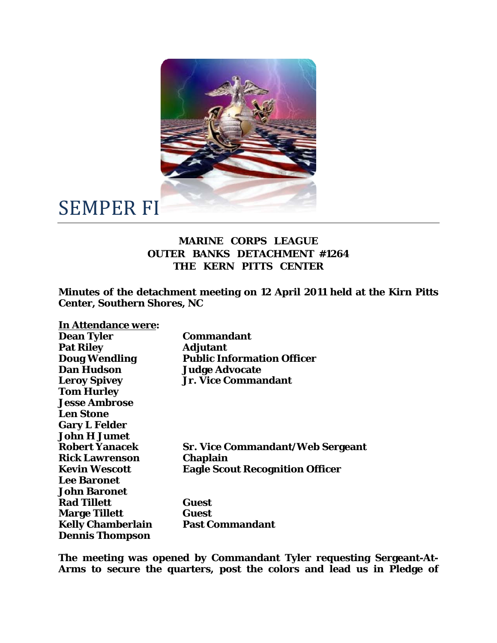

## SEMPER FI

## **MARINE CORPS LEAGUE OUTER BANKS DETACHMENT #1264 THE KERN PITTS CENTER**

**Minutes of the detachment meeting on 12 April 2011 held at the Kirn Pitts Center, Southern Shores, NC** 

| In Attendance were:      |                                         |
|--------------------------|-----------------------------------------|
| <b>Dean Tyler</b>        | <b>Commandant</b>                       |
| <b>Pat Riley</b>         | <b>Adjutant</b>                         |
| <b>Doug Wendling</b>     | <b>Public Information Officer</b>       |
| <b>Dan Hudson</b>        | <b>Judge Advocate</b>                   |
| <b>Leroy Spivey</b>      | <b>Jr. Vice Commandant</b>              |
| <b>Tom Hurley</b>        |                                         |
| <b>Jesse Ambrose</b>     |                                         |
| <b>Len Stone</b>         |                                         |
| <b>Gary L Felder</b>     |                                         |
| John H Jumet             |                                         |
| <b>Robert Yanacek</b>    | <b>Sr. Vice Commandant/Web Sergeant</b> |
| <b>Rick Lawrenson</b>    | <b>Chaplain</b>                         |
| <b>Kevin Wescott</b>     | <b>Eagle Scout Recognition Officer</b>  |
| <b>Lee Baronet</b>       |                                         |
| <b>John Baronet</b>      |                                         |
| <b>Rad Tillett</b>       | Guest                                   |
| <b>Marge Tillett</b>     | Guest                                   |
| <b>Kelly Chamberlain</b> | <b>Past Commandant</b>                  |
| <b>Dennis Thompson</b>   |                                         |

**The meeting was opened by Commandant Tyler requesting Sergeant-At-Arms to secure the quarters, post the colors and lead us in Pledge of**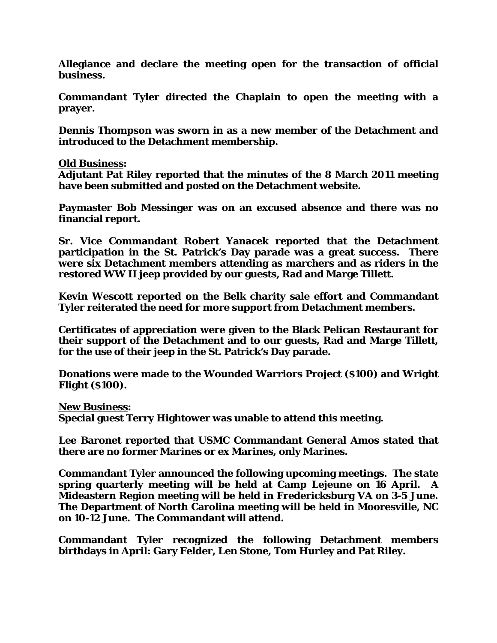**Allegiance and declare the meeting open for the transaction of official business.** 

**Commandant Tyler directed the Chaplain to open the meeting with a prayer.** 

**Dennis Thompson was sworn in as a new member of the Detachment and introduced to the Detachment membership.** 

**Old Business:** 

**Adjutant Pat Riley reported that the minutes of the 8 March 2011 meeting have been submitted and posted on the Detachment website.** 

**Paymaster Bob Messinger was on an excused absence and there was no financial report.** 

**Sr. Vice Commandant Robert Yanacek reported that the Detachment participation in the St. Patrick's Day parade was a great success. There were six Detachment members attending as marchers and as riders in the restored WW II jeep provided by our guests, Rad and Marge Tillett.** 

**Kevin Wescott reported on the Belk charity sale effort and Commandant Tyler reiterated the need for more support from Detachment members.** 

**Certificates of appreciation were given to the Black Pelican Restaurant for their support of the Detachment and to our guests, Rad and Marge Tillett, for the use of their jeep in the St. Patrick's Day parade.** 

**Donations were made to the Wounded Warriors Project (\$100) and Wright Flight (\$100).** 

**New Business:** 

**Special guest Terry Hightower was unable to attend this meeting.** 

**Lee Baronet reported that USMC Commandant General Amos stated that there are no former Marines or ex Marines, only Marines.** 

**Commandant Tyler announced the following upcoming meetings. The state spring quarterly meeting will be held at Camp Lejeune on 16 April. A Mideastern Region meeting will be held in Fredericksburg VA on 3-5 June. The Department of North Carolina meeting will be held in Mooresville, NC on 10-12 June. The Commandant will attend.** 

**Commandant Tyler recognized the following Detachment members birthdays in April: Gary Felder, Len Stone, Tom Hurley and Pat Riley.**